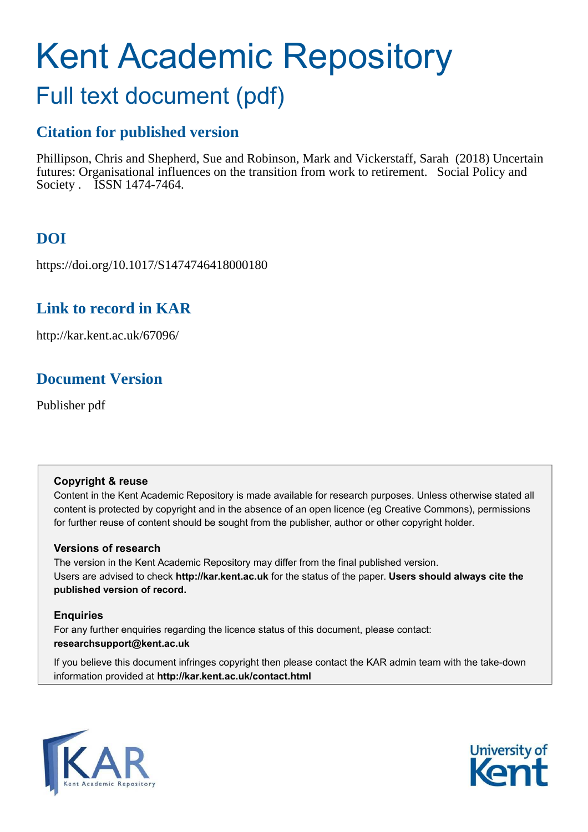# Kent Academic Repository

## Full text document (pdf)

## **Citation for published version**

Phillipson, Chris and Shepherd, Sue and Robinson, Mark and Vickerstaff, Sarah (2018) Uncertain futures: Organisational influences on the transition from work to retirement. Social Policy and Society . ISSN 1474-7464.

## **DOI**

https://doi.org/10.1017/S1474746418000180

## **Link to record in KAR**

http://kar.kent.ac.uk/67096/

## **Document Version**

Publisher pdf

#### **Copyright & reuse**

Content in the Kent Academic Repository is made available for research purposes. Unless otherwise stated all content is protected by copyright and in the absence of an open licence (eg Creative Commons), permissions for further reuse of content should be sought from the publisher, author or other copyright holder.

#### **Versions of research**

The version in the Kent Academic Repository may differ from the final published version. Users are advised to check **http://kar.kent.ac.uk** for the status of the paper. **Users should always cite the published version of record.**

#### **Enquiries**

For any further enquiries regarding the licence status of this document, please contact: **researchsupport@kent.ac.uk**

If you believe this document infringes copyright then please contact the KAR admin team with the take-down information provided at **http://kar.kent.ac.uk/contact.html**



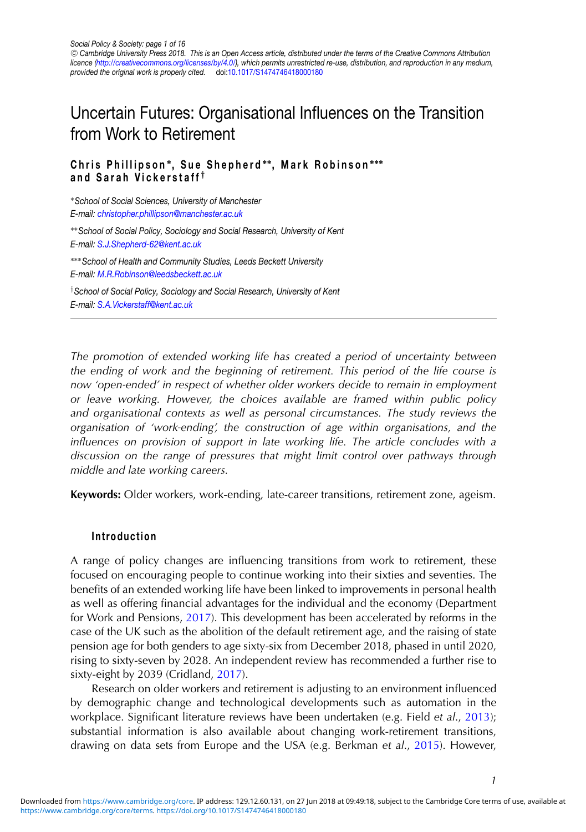### Uncertain Futures: Organisational Influences on the Transition from Work to Retirement

#### **Chris Phillipson** <sup>∗</sup> **, Sue Shepherd** ∗∗**, Mark Robinson** ∗∗∗ **and Sarah Vickerstaff** †

<sup>∗</sup>*School of Social Sciences, University of Manchester E-mail: [christopher.phillipson@manchester.ac.uk](mailto:christopher.phillipson@manchester.ac.uk)* ∗∗*School of Social Policy, Sociology and Social Research, University of Kent E-mail: [S.J.Shepherd-62@kent.ac.uk](mailto:S.J.Shepherd-62@kent.ac.uk)*

∗∗∗*School of Health and Community Studies, Leeds Beckett University E-mail: [M.R.Robinson@leedsbeckett.ac.uk](mailto:M.R.Robinson@leedsbeckett.ac.uk)*

†*School of Social Policy, Sociology and Social Research, University of Kent E-mail: [S.A.Vickerstaff@kent.ac.uk](mailto:S.A.Vickerstaff@kent.ac.uk)*

*The promotion of extended working life has created a period of uncertainty between the ending of work and the beginning of retirement. This period of the life course is now 'open-ended' in respect of whether older workers decide to remain in employment or leave working. However, the choices available are framed within public policy and organisational contexts as well as personal circumstances. The study reviews the organisation of 'work-ending', the construction of age within organisations, and the influences on provision of support in late working life. The article concludes with a discussion on the range of pressures that might limit control over pathways through middle and late working careers.*

**Keywords:** Older workers, work-ending, late-career transitions, retirement zone, ageism.

#### **Introduction**

A range of policy changes are influencing transitions from work to retirement, these focused on encouraging people to continue working into their sixties and seventies. The benefits of an extended working life have been linked to improvements in personal health as well as offering financial advantages for the individual and the economy (Department for Work and Pensions, [2017\)](#page-14-0). This development has been accelerated by reforms in the case of the UK such as the abolition of the default retirement age, and the raising of state pension age for both genders to age sixty-six from December 2018, phased in until 2020, rising to sixty-seven by 2028. An independent review has recommended a further rise to sixty-eight by 2039 (Cridland, [2017\)](#page-14-0).

Research on older workers and retirement is adjusting to an environment influenced by demographic change and technological developments such as automation in the workplace. Significant literature reviews have been undertaken (e.g. Field *et al*., [2013\)](#page-14-0); substantial information is also available about changing work-retirement transitions, drawing on data sets from Europe and the USA (e.g. Berkman *et al*., [2015\)](#page-13-0). However,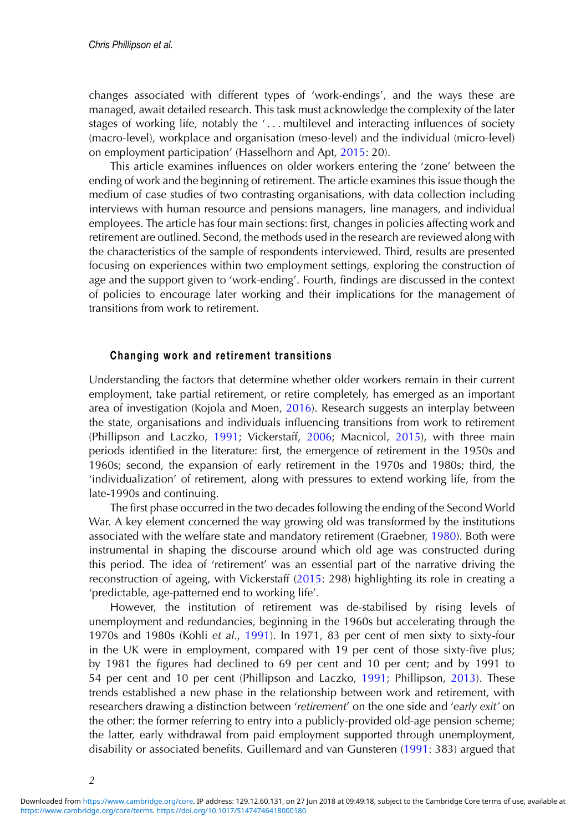changes associated with different types of 'work-endings', and the ways these are managed, await detailed research. This task must acknowledge the complexity of the later stages of working life, notably the '... multilevel and interacting influences of society (macro-level), workplace and organisation (meso-level) and the individual (micro-level) on employment participation' (Hasselhorn and Apt, [2015:](#page-14-0) 20).

This article examines influences on older workers entering the 'zone' between the ending of work and the beginning of retirement. The article examines this issue though the medium of case studies of two contrasting organisations, with data collection including interviews with human resource and pensions managers, line managers, and individual employees. The article has four main sections: first, changes in policies affecting work and retirement are outlined. Second, the methods used in the research are reviewed along with the characteristics of the sample of respondents interviewed. Third, results are presented focusing on experiences within two employment settings, exploring the construction of age and the support given to 'work-ending'. Fourth, findings are discussed in the context of policies to encourage later working and their implications for the management of transitions from work to retirement.

#### **Changing work and retirement transitions**

Understanding the factors that determine whether older workers remain in their current employment, take partial retirement, or retire completely, has emerged as an important area of investigation (Kojola and Moen, [2016\)](#page-14-0). Research suggests an interplay between the state, organisations and individuals influencing transitions from work to retirement (Phillipson and Laczko, [1991;](#page-15-0) Vickerstaff, [2006;](#page-15-0) Macnicol, [2015\)](#page-14-0), with three main periods identified in the literature: first, the emergence of retirement in the 1950s and 1960s; second, the expansion of early retirement in the 1970s and 1980s; third, the 'individualization' of retirement, along with pressures to extend working life, from the late-1990s and continuing.

The first phase occurred in the two decades following the ending of the Second World War. A key element concerned the way growing old was transformed by the institutions associated with the welfare state and mandatory retirement (Graebner, [1980\)](#page-14-0). Both were instrumental in shaping the discourse around which old age was constructed during this period. The idea of 'retirement' was an essential part of the narrative driving the reconstruction of ageing, with Vickerstaff [\(2015:](#page-15-0) 298) highlighting its role in creating a 'predictable, age-patterned end to working life'.

However, the institution of retirement was de-stabilised by rising levels of unemployment and redundancies, beginning in the 1960s but accelerating through the 1970s and 1980s (Kohli *et al*., [1991\)](#page-14-0). In 1971, 83 per cent of men sixty to sixty-four in the UK were in employment, compared with 19 per cent of those sixty-five plus; by 1981 the figures had declined to 69 per cent and 10 per cent; and by 1991 to 54 per cent and 10 per cent (Phillipson and Laczko, [1991;](#page-15-0) Phillipson, [2013\)](#page-15-0). These trends established a new phase in the relationship between work and retirement, with researchers drawing a distinction between '*retirement*' on the one side and '*early exit'* on the other: the former referring to entry into a publicly-provided old-age pension scheme; the latter, early withdrawal from paid employment supported through unemployment, disability or associated benefits. Guillemard and van Gunsteren [\(1991:](#page-14-0) 383) argued that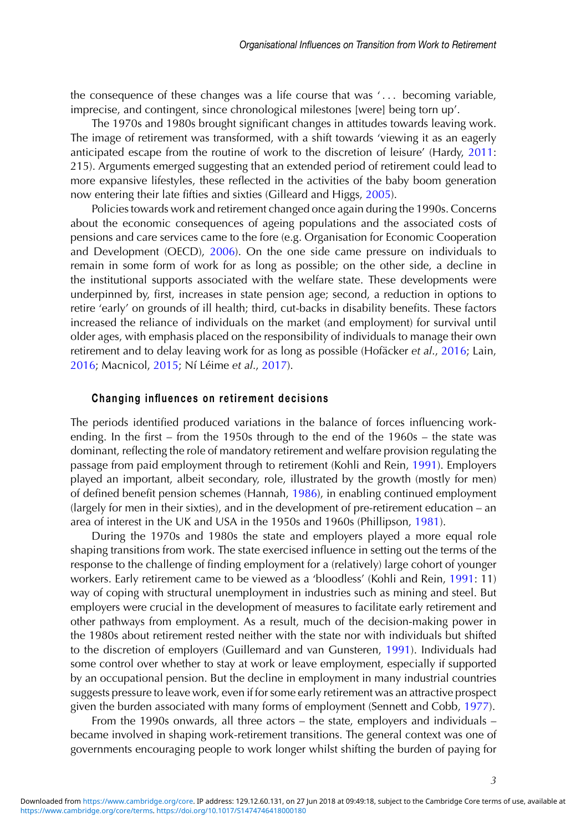the consequence of these changes was a life course that was ' . . . becoming variable, imprecise, and contingent, since chronological milestones [were] being torn up'.

The 1970s and 1980s brought significant changes in attitudes towards leaving work. The image of retirement was transformed, with a shift towards 'viewing it as an eagerly anticipated escape from the routine of work to the discretion of leisure' (Hardy, [2011:](#page-14-0) 215). Arguments emerged suggesting that an extended period of retirement could lead to more expansive lifestyles, these reflected in the activities of the baby boom generation now entering their late fifties and sixties (Gilleard and Higgs, [2005\)](#page-14-0).

Policies towards work and retirement changed once again during the 1990s. Concerns about the economic consequences of ageing populations and the associated costs of pensions and care services came to the fore (e.g. Organisation for Economic Cooperation and Development (OECD), [2006\)](#page-14-0). On the one side came pressure on individuals to remain in some form of work for as long as possible; on the other side, a decline in the institutional supports associated with the welfare state. These developments were underpinned by, first, increases in state pension age; second, a reduction in options to retire 'early' on grounds of ill health; third, cut-backs in disability benefits. These factors increased the reliance of individuals on the market (and employment) for survival until older ages, with emphasis placed on the responsibility of individuals to manage their own retirement and to delay leaving work for as long as possible (Hofäcker et al., [2016;](#page-14-0) Lain, [2016;](#page-14-0) Macnicol, [2015;](#page-14-0) Ní Léime et al., [2017\)](#page-14-0).

#### **Changing influences on retirement decisions**

The periods identified produced variations in the balance of forces influencing workending. In the first – from the 1950s through to the end of the 1960s – the state was dominant, reflecting the role of mandatory retirement and welfare provision regulating the passage from paid employment through to retirement (Kohli and Rein, [1991\)](#page-14-0). Employers played an important, albeit secondary, role, illustrated by the growth (mostly for men) of defined benefit pension schemes (Hannah, [1986\)](#page-14-0), in enabling continued employment (largely for men in their sixties), and in the development of pre-retirement education – an area of interest in the UK and USA in the 1950s and 1960s (Phillipson, [1981\)](#page-15-0).

During the 1970s and 1980s the state and employers played a more equal role shaping transitions from work. The state exercised influence in setting out the terms of the response to the challenge of finding employment for a (relatively) large cohort of younger workers. Early retirement came to be viewed as a 'bloodless' (Kohli and Rein, [1991:](#page-14-0) 11) way of coping with structural unemployment in industries such as mining and steel. But employers were crucial in the development of measures to facilitate early retirement and other pathways from employment. As a result, much of the decision-making power in the 1980s about retirement rested neither with the state nor with individuals but shifted to the discretion of employers (Guillemard and van Gunsteren, [1991\)](#page-14-0). Individuals had some control over whether to stay at work or leave employment, especially if supported by an occupational pension. But the decline in employment in many industrial countries suggests pressure to leave work, even if for some early retirement was an attractive prospect given the burden associated with many forms of employment (Sennett and Cobb, [1977\)](#page-15-0).

From the 1990s onwards, all three actors – the state, employers and individuals – became involved in shaping work-retirement transitions. The general context was one of governments encouraging people to work longer whilst shifting the burden of paying for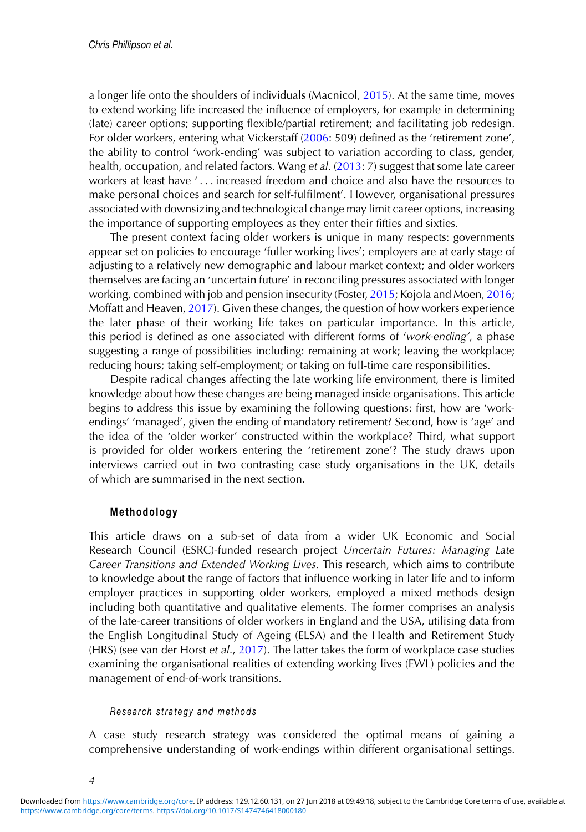a longer life onto the shoulders of individuals (Macnicol, [2015\)](#page-14-0). At the same time, moves to extend working life increased the influence of employers, for example in determining (late) career options; supporting flexible/partial retirement; and facilitating job redesign. For older workers, entering what Vickerstaff [\(2006:](#page-15-0) 509) defined as the 'retirement zone', the ability to control 'work-ending' was subject to variation according to class, gender, health, occupation, and related factors. Wang *et al*. [\(2013:](#page-15-0) 7) suggest that some late career workers at least have '... increased freedom and choice and also have the resources to make personal choices and search for self-fulfilment'. However, organisational pressures associated with downsizing and technological change may limit career options, increasing the importance of supporting employees as they enter their fifties and sixties.

The present context facing older workers is unique in many respects: governments appear set on policies to encourage 'fuller working lives'; employers are at early stage of adjusting to a relatively new demographic and labour market context; and older workers themselves are facing an 'uncertain future' in reconciling pressures associated with longer working, combined with job and pension insecurity (Foster, [2015;](#page-14-0) Kojola and Moen, [2016;](#page-14-0) Moffatt and Heaven, [2017\)](#page-14-0). Given these changes, the question of how workers experience the later phase of their working life takes on particular importance. In this article, this period is defined as one associated with different forms of '*work-ending'*, a phase suggesting a range of possibilities including: remaining at work; leaving the workplace; reducing hours; taking self-employment; or taking on full-time care responsibilities.

Despite radical changes affecting the late working life environment, there is limited knowledge about how these changes are being managed inside organisations. This article begins to address this issue by examining the following questions: first, how are 'workendings' 'managed', given the ending of mandatory retirement? Second, how is 'age' and the idea of the 'older worker' constructed within the workplace? Third, what support is provided for older workers entering the 'retirement zone'? The study draws upon interviews carried out in two contrasting case study organisations in the UK, details of which are summarised in the next section.

#### **Methodology**

This article draws on a sub-set of data from a wider UK Economic and Social Research Council (ESRC)-funded research project *Uncertain Futures: Managing Late Career Transitions and Extended Working Lives*. This research, which aims to contribute to knowledge about the range of factors that influence working in later life and to inform employer practices in supporting older workers, employed a mixed methods design including both quantitative and qualitative elements. The former comprises an analysis of the late-career transitions of older workers in England and the USA, utilising data from the English Longitudinal Study of Ageing (ELSA) and the Health and Retirement Study (HRS) (see van der Horst *et al*., [2017\)](#page-15-0). The latter takes the form of workplace case studies examining the organisational realities of extending working lives (EWL) policies and the management of end-of-work transitions.

#### *Research strategy and methods*

A case study research strategy was considered the optimal means of gaining a comprehensive understanding of work-endings within different organisational settings.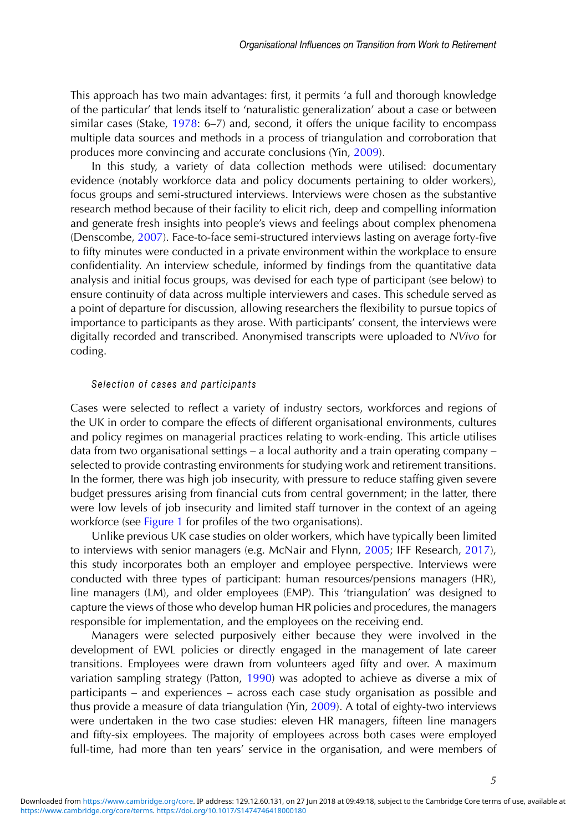This approach has two main advantages: first, it permits 'a full and thorough knowledge of the particular' that lends itself to 'naturalistic generalization' about a case or between similar cases (Stake,  $1978: 6-7$  $1978: 6-7$ ) and, second, it offers the unique facility to encompass multiple data sources and methods in a process of triangulation and corroboration that produces more convincing and accurate conclusions (Yin, [2009\)](#page-15-0).

In this study, a variety of data collection methods were utilised: documentary evidence (notably workforce data and policy documents pertaining to older workers), focus groups and semi-structured interviews. Interviews were chosen as the substantive research method because of their facility to elicit rich, deep and compelling information and generate fresh insights into people's views and feelings about complex phenomena (Denscombe, [2007\)](#page-14-0). Face-to-face semi-structured interviews lasting on average forty-five to fifty minutes were conducted in a private environment within the workplace to ensure confidentiality. An interview schedule, informed by findings from the quantitative data analysis and initial focus groups, was devised for each type of participant (see below) to ensure continuity of data across multiple interviewers and cases. This schedule served as a point of departure for discussion, allowing researchers the flexibility to pursue topics of importance to participants as they arose. With participants' consent, the interviews were digitally recorded and transcribed. Anonymised transcripts were uploaded to *NVivo* for coding.

#### *Selection of cases and participants*

Cases were selected to reflect a variety of industry sectors, workforces and regions of the UK in order to compare the effects of different organisational environments, cultures and policy regimes on managerial practices relating to work-ending. This article utilises data from two organisational settings – a local authority and a train operating company – selected to provide contrasting environments for studying work and retirement transitions. In the former, there was high job insecurity, with pressure to reduce staffing given severe budget pressures arising from financial cuts from central government; in the latter, there were low levels of job insecurity and limited staff turnover in the context of an ageing workforce (see Figure 1 for profiles of the two organisations).

Unlike previous UK case studies on older workers, which have typically been limited to interviews with senior managers (e.g. McNair and Flynn, [2005;](#page-14-0) IFF Research, [2017\)](#page-14-0), this study incorporates both an employer and employee perspective. Interviews were conducted with three types of participant: human resources/pensions managers (HR), line managers (LM), and older employees (EMP). This 'triangulation' was designed to capture the views of those who develop human HR policies and procedures, the managers responsible for implementation, and the employees on the receiving end.

Managers were selected purposively either because they were involved in the development of EWL policies or directly engaged in the management of late career transitions. Employees were drawn from volunteers aged fifty and over. A maximum variation sampling strategy (Patton, [1990\)](#page-14-0) was adopted to achieve as diverse a mix of participants – and experiences – across each case study organisation as possible and thus provide a measure of data triangulation (Yin, [2009\)](#page-15-0). A total of eighty-two interviews were undertaken in the two case studies: eleven HR managers, fifteen line managers and fifty-six employees. The majority of employees across both cases were employed full-time, had more than ten years' service in the organisation, and were members of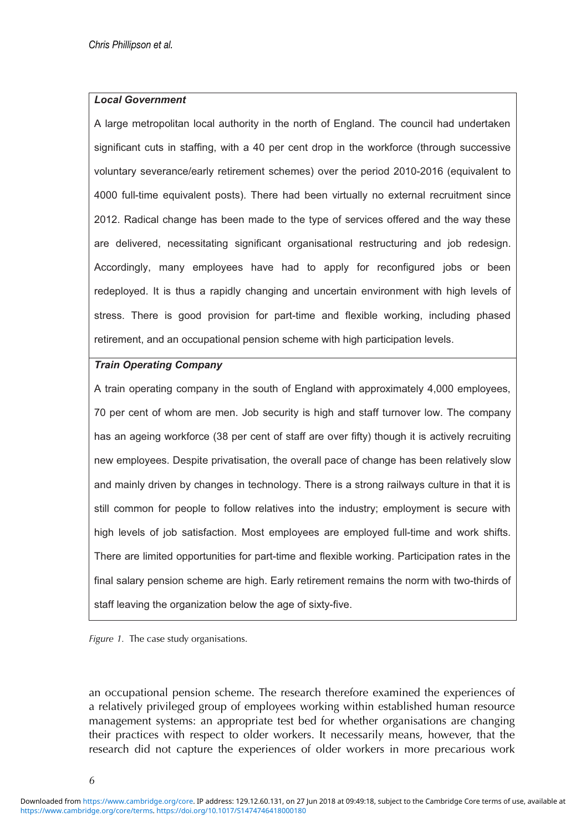#### <span id="page-6-0"></span>*Local Government*

A large metropolitan local authority in the north of England. The council had undertaken significant cuts in staffing, with a 40 per cent drop in the workforce (through successive voluntary severance/early retirement schemes) over the period 2010-2016 (equivalent to 4000 full-time equivalent posts). There had been virtually no external recruitment since 2012. Radical change has been made to the type of services offered and the way these are delivered, necessitating significant organisational restructuring and job redesign. Accordingly, many employees have had to apply for reconfigured jobs or been redeployed. It is thus a rapidly changing and uncertain environment with high levels of stress. There is good provision for part-time and flexible working, including phased retirement, and an occupational pension scheme with high participation levels.

#### *Train Operating Company*

A train operating company in the south of England with approximately 4,000 employees, 70 per cent of whom are men. Job security is high and staff turnover low. The company has an ageing workforce (38 per cent of staff are over fifty) though it is actively recruiting new employees. Despite privatisation, the overall pace of change has been relatively slow and mainly driven by changes in technology. There is a strong railways culture in that it is still common for people to follow relatives into the industry; employment is secure with high levels of job satisfaction. Most employees are employed full-time and work shifts. There are limited opportunities for part-time and flexible working. Participation rates in the final salary pension scheme are high. Early retirement remains the norm with two-thirds of staff leaving the organization below the age of sixty-five.

*Figure 1.* The case study organisations.

an occupational pension scheme. The research therefore examined the experiences of a relatively privileged group of employees working within established human resource management systems: an appropriate test bed for whether organisations are changing their practices with respect to older workers. It necessarily means, however, that the research did not capture the experiences of older workers in more precarious work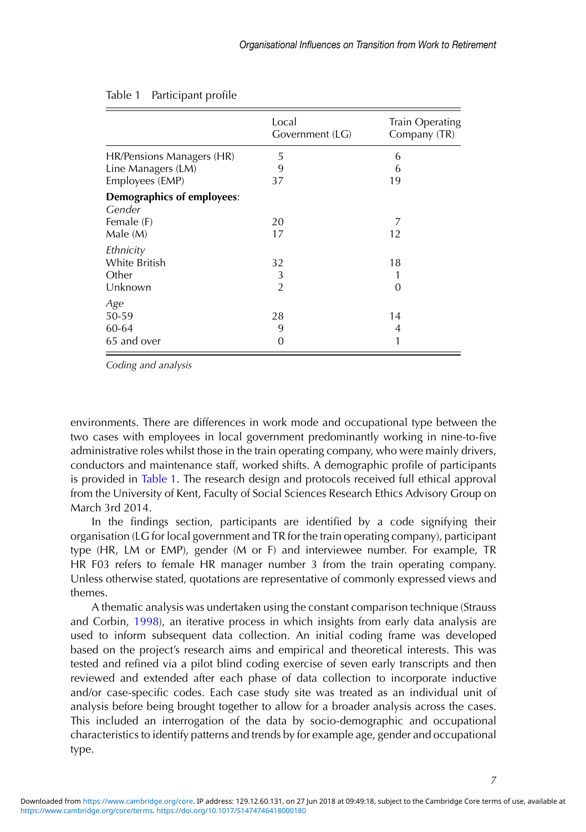|                                             | Local<br>Government (LG) | Train Operating<br>Company (TR) |
|---------------------------------------------|--------------------------|---------------------------------|
| HR/Pensions Managers (HR)                   | 5                        | 6                               |
| Line Managers (LM)                          | 9                        | 6                               |
| Employees (EMP)                             | 37                       | 19                              |
| <b>Demographics of employees:</b><br>Gender |                          |                                 |
| Female (F)                                  | 20                       | 7                               |
| Male (M)                                    | 17                       | 12                              |
| Ethnicity                                   |                          |                                 |
| White British                               | 32                       | 18                              |
| Other                                       | 3                        |                                 |
| Unknown                                     | $\overline{2}$           | 0                               |
| Age                                         |                          |                                 |
| 50-59                                       | 28                       | 14                              |
| 60-64                                       | 9                        | 4                               |
| 65 and over                                 | 0                        |                                 |

#### Table 1 Participant profile

*Coding and analysis*

environments. There are differences in work mode and occupational type between the two cases with employees in local government predominantly working in nine-to-five administrative roles whilst those in the train operating company, who were mainly drivers, conductors and maintenance staff, worked shifts. A demographic profile of participants is provided in [Table 1.](#page-6-0) The research design and protocols received full ethical approval from the University of Kent, Faculty of Social Sciences Research Ethics Advisory Group on March 3rd 2014.

In the findings section, participants are identified by a code signifying their organisation (LG for local government and TR for the train operating company), participant type (HR, LM or EMP), gender (M or F) and interviewee number. For example, TR HR F03 refers to female HR manager number 3 from the train operating company. Unless otherwise stated, quotations are representative of commonly expressed views and themes.

A thematic analysis was undertaken using the constant comparison technique (Strauss and Corbin, [1998\)](#page-15-0), an iterative process in which insights from early data analysis are used to inform subsequent data collection. An initial coding frame was developed based on the project's research aims and empirical and theoretical interests. This was tested and refined via a pilot blind coding exercise of seven early transcripts and then reviewed and extended after each phase of data collection to incorporate inductive and/or case-specific codes. Each case study site was treated as an individual unit of analysis before being brought together to allow for a broader analysis across the cases. This included an interrogation of the data by socio-demographic and occupational characteristics to identify patterns and trends by for example age, gender and occupational type.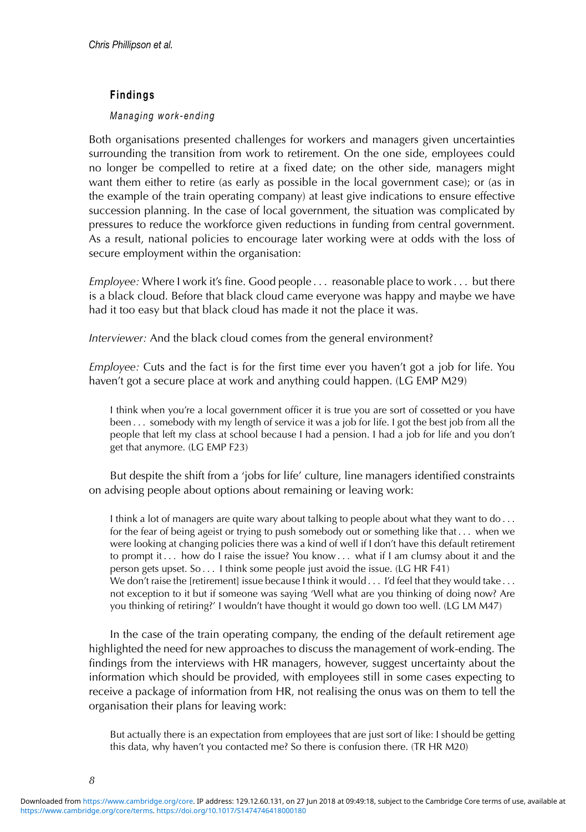#### **Findings**

#### *Managing work-ending*

Both organisations presented challenges for workers and managers given uncertainties surrounding the transition from work to retirement. On the one side, employees could no longer be compelled to retire at a fixed date; on the other side, managers might want them either to retire (as early as possible in the local government case); or (as in the example of the train operating company) at least give indications to ensure effective succession planning. In the case of local government, the situation was complicated by pressures to reduce the workforce given reductions in funding from central government. As a result, national policies to encourage later working were at odds with the loss of secure employment within the organisation:

*Employee:* Where I work it's fine. Good people . . . reasonable place to work . . . but there is a black cloud. Before that black cloud came everyone was happy and maybe we have had it too easy but that black cloud has made it not the place it was.

*Interviewer:* And the black cloud comes from the general environment?

*Employee:* Cuts and the fact is for the first time ever you haven't got a job for life. You haven't got a secure place at work and anything could happen. (LG EMP M29)

I think when you're a local government officer it is true you are sort of cossetted or you have been . . . somebody with my length of service it was a job for life. I got the best job from all the people that left my class at school because I had a pension. I had a job for life and you don't get that anymore. (LG EMP F23)

But despite the shift from a 'jobs for life' culture, line managers identified constraints on advising people about options about remaining or leaving work:

I think a lot of managers are quite wary about talking to people about what they want to do . . . for the fear of being ageist or trying to push somebody out or something like that . . . when we were looking at changing policies there was a kind of well if I don't have this default retirement to prompt it... how do I raise the issue? You know ... what if I am clumsy about it and the person gets upset. So . . . I think some people just avoid the issue. (LG HR F41) We don't raise the [retirement] issue because I think it would  $\dots$  I'd feel that they would take  $\dots$ not exception to it but if someone was saying 'Well what are you thinking of doing now? Are you thinking of retiring?' I wouldn't have thought it would go down too well. (LG LM M47)

In the case of the train operating company, the ending of the default retirement age highlighted the need for new approaches to discuss the management of work-ending. The findings from the interviews with HR managers, however, suggest uncertainty about the information which should be provided, with employees still in some cases expecting to receive a package of information from HR, not realising the onus was on them to tell the organisation their plans for leaving work:

But actually there is an expectation from employees that are just sort of like: I should be getting this data, why haven't you contacted me? So there is confusion there. (TR HR M20)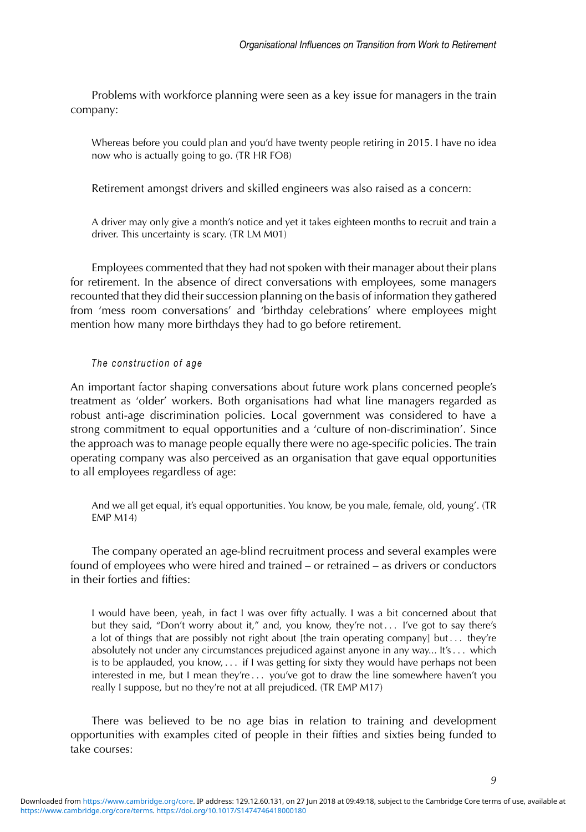Problems with workforce planning were seen as a key issue for managers in the train company:

Whereas before you could plan and you'd have twenty people retiring in 2015. I have no idea now who is actually going to go. (TR HR FO8)

Retirement amongst drivers and skilled engineers was also raised as a concern:

A driver may only give a month's notice and yet it takes eighteen months to recruit and train a driver. This uncertainty is scary. (TR LM M01)

Employees commented that they had not spoken with their manager about their plans for retirement. In the absence of direct conversations with employees, some managers recounted that they did their succession planning on the basis of information they gathered from 'mess room conversations' and 'birthday celebrations' where employees might mention how many more birthdays they had to go before retirement.

#### *The construction of age*

An important factor shaping conversations about future work plans concerned people's treatment as 'older' workers. Both organisations had what line managers regarded as robust anti-age discrimination policies. Local government was considered to have a strong commitment to equal opportunities and a 'culture of non-discrimination'. Since the approach was to manage people equally there were no age-specific policies. The train operating company was also perceived as an organisation that gave equal opportunities to all employees regardless of age:

And we all get equal, it's equal opportunities. You know, be you male, female, old, young'. (TR EMP M14)

The company operated an age-blind recruitment process and several examples were found of employees who were hired and trained – or retrained – as drivers or conductors in their forties and fifties:

I would have been, yeah, in fact I was over fifty actually. I was a bit concerned about that but they said, "Don't worry about it," and, you know, they're not... I've got to say there's a lot of things that are possibly not right about [the train operating company] but . . . they're absolutely not under any circumstances prejudiced against anyone in any way... It's . . . which is to be applauded, you know, . . . if I was getting for sixty they would have perhaps not been interested in me, but I mean they're ... you've got to draw the line somewhere haven't you really I suppose, but no they're not at all prejudiced. (TR EMP M17)

There was believed to be no age bias in relation to training and development opportunities with examples cited of people in their fifties and sixties being funded to take courses: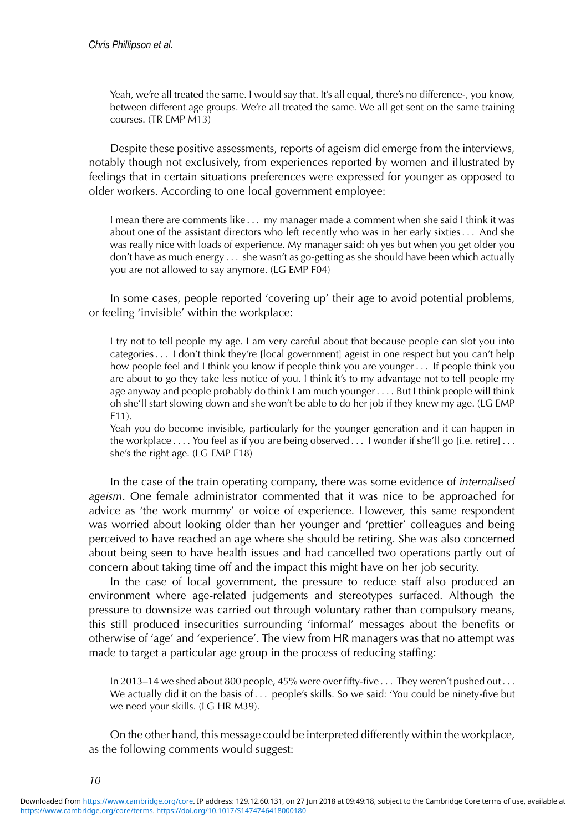Yeah, we're all treated the same. I would say that. It's all equal, there's no difference-, you know, between different age groups. We're all treated the same. We all get sent on the same training courses. (TR EMP M13)

Despite these positive assessments, reports of ageism did emerge from the interviews, notably though not exclusively, from experiences reported by women and illustrated by feelings that in certain situations preferences were expressed for younger as opposed to older workers. According to one local government employee:

I mean there are comments like . . . my manager made a comment when she said I think it was about one of the assistant directors who left recently who was in her early sixties . . . And she was really nice with loads of experience. My manager said: oh yes but when you get older you don't have as much energy . . . she wasn't as go-getting as she should have been which actually you are not allowed to say anymore. (LG EMP F04)

In some cases, people reported 'covering up' their age to avoid potential problems, or feeling 'invisible' within the workplace:

I try not to tell people my age. I am very careful about that because people can slot you into categories . . . I don't think they're [local government] ageist in one respect but you can't help how people feel and I think you know if people think you are younger . . . If people think you are about to go they take less notice of you. I think it's to my advantage not to tell people my age anyway and people probably do think I am much younger . . . . But I think people will think oh she'll start slowing down and she won't be able to do her job if they knew my age. (LG EMP F11).

Yeah you do become invisible, particularly for the younger generation and it can happen in the workplace . . . . You feel as if you are being observed . . . I wonder if she'll go [i.e. retire] . . . she's the right age. (LG EMP F18)

In the case of the train operating company, there was some evidence of *internalised ageism*. One female administrator commented that it was nice to be approached for advice as 'the work mummy' or voice of experience. However, this same respondent was worried about looking older than her younger and 'prettier' colleagues and being perceived to have reached an age where she should be retiring. She was also concerned about being seen to have health issues and had cancelled two operations partly out of concern about taking time off and the impact this might have on her job security.

In the case of local government, the pressure to reduce staff also produced an environment where age-related judgements and stereotypes surfaced. Although the pressure to downsize was carried out through voluntary rather than compulsory means, this still produced insecurities surrounding 'informal' messages about the benefits or otherwise of 'age' and 'experience'. The view from HR managers was that no attempt was made to target a particular age group in the process of reducing staffing:

In 2013–14 we shed about 800 people, 45% were over fifty-five . . . They weren't pushed out . . . We actually did it on the basis of . . . people's skills. So we said: 'You could be ninety-five but we need your skills. (LG HR M39).

On the other hand, this message could be interpreted differently within the workplace, as the following comments would suggest: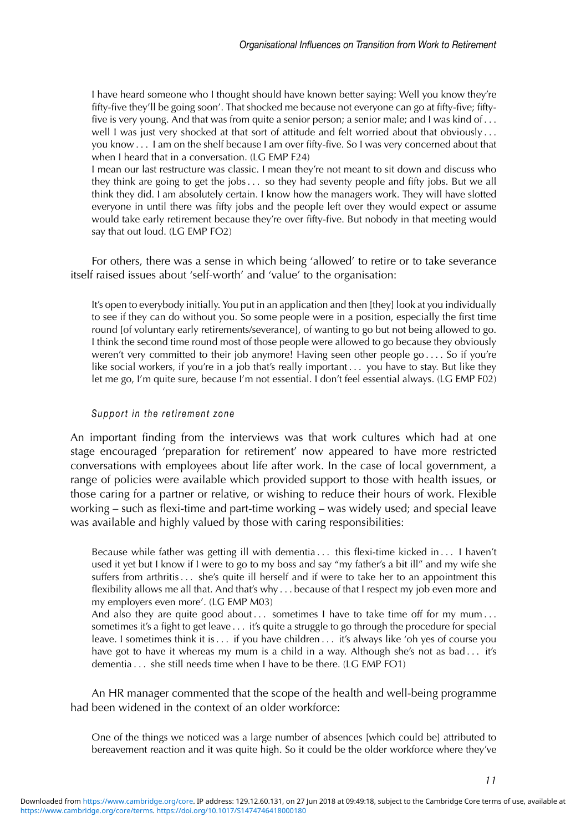I have heard someone who I thought should have known better saying: Well you know they're fifty-five they'll be going soon'. That shocked me because not everyone can go at fifty-five; fiftyfive is very young. And that was from quite a senior person; a senior male; and I was kind of . . . well I was just very shocked at that sort of attitude and felt worried about that obviously ... you know . . . I am on the shelf because I am over fifty-five. So I was very concerned about that when I heard that in a conversation. (LG EMP F24)

I mean our last restructure was classic. I mean they're not meant to sit down and discuss who they think are going to get the jobs . . . so they had seventy people and fifty jobs. But we all think they did. I am absolutely certain. I know how the managers work. They will have slotted everyone in until there was fifty jobs and the people left over they would expect or assume would take early retirement because they're over fifty-five. But nobody in that meeting would say that out loud. (LG EMP FO2)

For others, there was a sense in which being 'allowed' to retire or to take severance itself raised issues about 'self-worth' and 'value' to the organisation:

It's open to everybody initially. You put in an application and then [they] look at you individually to see if they can do without you. So some people were in a position, especially the first time round [of voluntary early retirements/severance], of wanting to go but not being allowed to go. I think the second time round most of those people were allowed to go because they obviously weren't very committed to their job anymore! Having seen other people go . . . . So if you're like social workers, if you're in a job that's really important . . . you have to stay. But like they let me go, I'm quite sure, because I'm not essential. I don't feel essential always. (LG EMP F02)

#### *Support in the retirement zone*

An important finding from the interviews was that work cultures which had at one stage encouraged 'preparation for retirement' now appeared to have more restricted conversations with employees about life after work. In the case of local government, a range of policies were available which provided support to those with health issues, or those caring for a partner or relative, or wishing to reduce their hours of work. Flexible working – such as flexi-time and part-time working – was widely used; and special leave was available and highly valued by those with caring responsibilities:

Because while father was getting ill with dementia . . . this flexi-time kicked in . . . I haven't used it yet but I know if I were to go to my boss and say "my father's a bit ill" and my wife she suffers from arthritis . . . she's quite ill herself and if were to take her to an appointment this flexibility allows me all that. And that's why . . . because of that I respect my job even more and my employers even more'. (LG EMP M03)

And also they are quite good about  $\dots$  sometimes I have to take time off for my mum  $\dots$ sometimes it's a fight to get leave . . . it's quite a struggle to go through the procedure for special leave. I sometimes think it is . . . if you have children . . . it's always like 'oh yes of course you have got to have it whereas my mum is a child in a way. Although she's not as bad... it's dementia . . . she still needs time when I have to be there. (LG EMP FO1)

An HR manager commented that the scope of the health and well-being programme had been widened in the context of an older workforce:

One of the things we noticed was a large number of absences [which could be] attributed to bereavement reaction and it was quite high. So it could be the older workforce where they've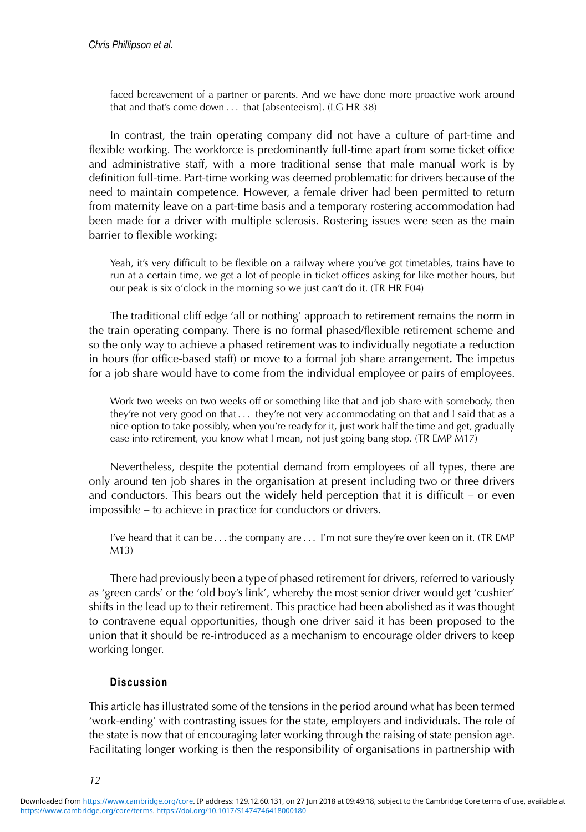faced bereavement of a partner or parents. And we have done more proactive work around that and that's come down . . . that [absenteeism]. (LG HR 38)

In contrast, the train operating company did not have a culture of part-time and flexible working. The workforce is predominantly full-time apart from some ticket office and administrative staff, with a more traditional sense that male manual work is by definition full-time. Part-time working was deemed problematic for drivers because of the need to maintain competence. However, a female driver had been permitted to return from maternity leave on a part-time basis and a temporary rostering accommodation had been made for a driver with multiple sclerosis. Rostering issues were seen as the main barrier to flexible working:

Yeah, it's very difficult to be flexible on a railway where you've got timetables, trains have to run at a certain time, we get a lot of people in ticket offices asking for like mother hours, but our peak is six o'clock in the morning so we just can't do it. (TR HR F04)

The traditional cliff edge 'all or nothing' approach to retirement remains the norm in the train operating company. There is no formal phased/flexible retirement scheme and so the only way to achieve a phased retirement was to individually negotiate a reduction in hours (for office-based staff) or move to a formal job share arrangement**.** The impetus for a job share would have to come from the individual employee or pairs of employees.

Work two weeks on two weeks off or something like that and job share with somebody, then they're not very good on that  $\dots$  they're not very accommodating on that and I said that as a nice option to take possibly, when you're ready for it, just work half the time and get, gradually ease into retirement, you know what I mean, not just going bang stop. (TR EMP M17)

Nevertheless, despite the potential demand from employees of all types, there are only around ten job shares in the organisation at present including two or three drivers and conductors. This bears out the widely held perception that it is difficult – or even impossible – to achieve in practice for conductors or drivers.

I've heard that it can be . . . the company are . . . I'm not sure they're over keen on it. (TR EMP M13)

There had previously been a type of phased retirement for drivers, referred to variously as 'green cards' or the 'old boy's link', whereby the most senior driver would get 'cushier' shifts in the lead up to their retirement. This practice had been abolished as it was thought to contravene equal opportunities, though one driver said it has been proposed to the union that it should be re-introduced as a mechanism to encourage older drivers to keep working longer.

#### **Discussion**

This article has illustrated some of the tensions in the period around what has been termed 'work-ending' with contrasting issues for the state, employers and individuals. The role of the state is now that of encouraging later working through the raising of state pension age. Facilitating longer working is then the responsibility of organisations in partnership with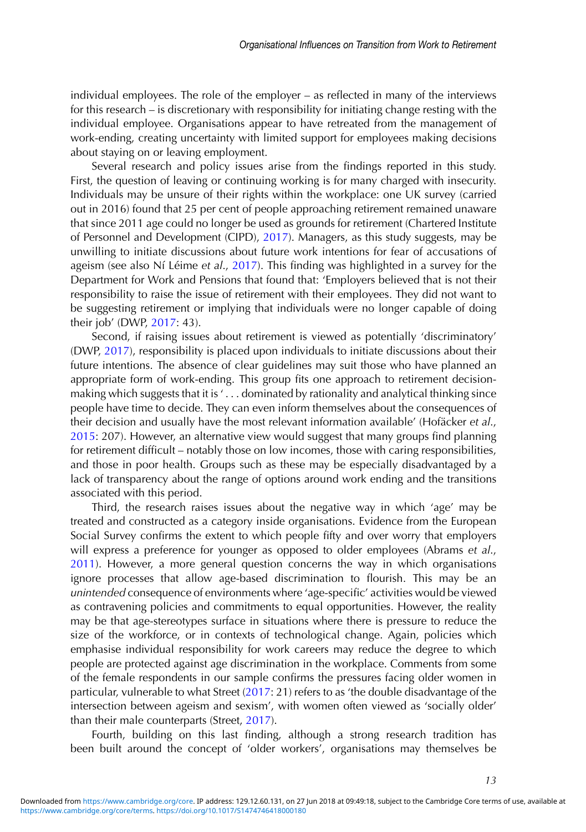<span id="page-13-0"></span>individual employees. The role of the employer – as reflected in many of the interviews for this research – is discretionary with responsibility for initiating change resting with the individual employee. Organisations appear to have retreated from the management of work-ending, creating uncertainty with limited support for employees making decisions about staying on or leaving employment.

Several research and policy issues arise from the findings reported in this study. First, the question of leaving or continuing working is for many charged with insecurity. Individuals may be unsure of their rights within the workplace: one UK survey (carried out in 2016) found that 25 per cent of people approaching retirement remained unaware that since 2011 age could no longer be used as grounds for retirement (Chartered Institute of Personnel and Development (CIPD), 2017). Managers, as this study suggests, may be unwilling to initiate discussions about future work intentions for fear of accusations of ageism (see also Ní Léime et al., [2017\)](#page-14-0). This finding was highlighted in a survey for the Department for Work and Pensions that found that: 'Employers believed that is not their responsibility to raise the issue of retirement with their employees. They did not want to be suggesting retirement or implying that individuals were no longer capable of doing their job' (DWP, [2017:](#page-14-0) 43).

Second, if raising issues about retirement is viewed as potentially 'discriminatory' (DWP, [2017\)](#page-14-0), responsibility is placed upon individuals to initiate discussions about their future intentions. The absence of clear guidelines may suit those who have planned an appropriate form of work-ending. This group fits one approach to retirement decisionmaking which suggests that it is ' . . . dominated by rationality and analytical thinking since people have time to decide. They can even inform themselves about the consequences of their decision and usually have the most relevant information available' (Hofäcker et al., [2015:](#page-14-0) 207). However, an alternative view would suggest that many groups find planning for retirement difficult – notably those on low incomes, those with caring responsibilities, and those in poor health. Groups such as these may be especially disadvantaged by a lack of transparency about the range of options around work ending and the transitions associated with this period.

Third, the research raises issues about the negative way in which 'age' may be treated and constructed as a category inside organisations. Evidence from the European Social Survey confirms the extent to which people fifty and over worry that employers will express a preference for younger as opposed to older employees (Abrams *et al*., 2011). However, a more general question concerns the way in which organisations ignore processes that allow age-based discrimination to flourish. This may be an *unintended* consequence of environments where 'age-specific' activities would be viewed as contravening policies and commitments to equal opportunities. However, the reality may be that age-stereotypes surface in situations where there is pressure to reduce the size of the workforce, or in contexts of technological change. Again, policies which emphasise individual responsibility for work careers may reduce the degree to which people are protected against age discrimination in the workplace. Comments from some of the female respondents in our sample confirms the pressures facing older women in particular, vulnerable to what Street [\(2017:](#page-15-0) 21) refers to as 'the double disadvantage of the intersection between ageism and sexism', with women often viewed as 'socially older' than their male counterparts (Street, [2017\)](#page-15-0).

Fourth, building on this last finding, although a strong research tradition has been built around the concept of 'older workers', organisations may themselves be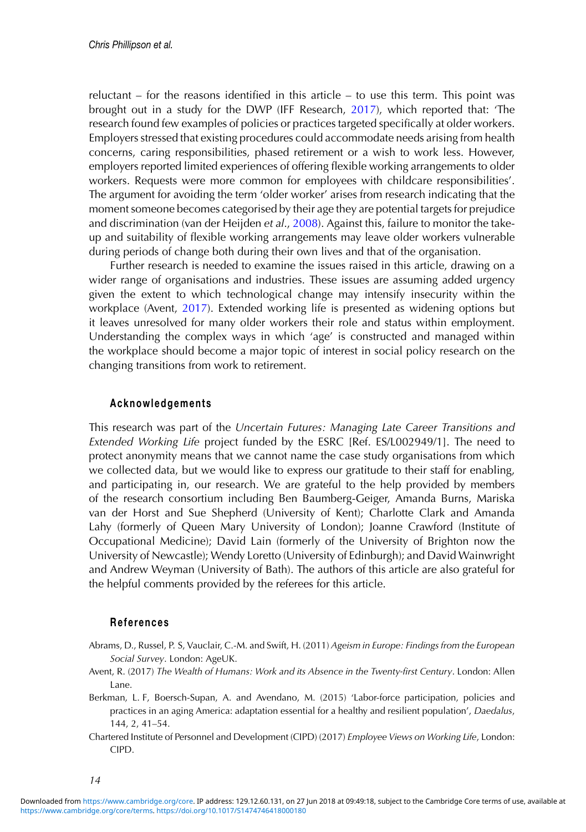<span id="page-14-0"></span>reluctant – for the reasons identified in this article – to use this term. This point was brought out in a study for the DWP (IFF Research, 2017), which reported that: 'The research found few examples of policies or practices targeted specifically at older workers. Employers stressed that existing procedures could accommodate needs arising from health concerns, caring responsibilities, phased retirement or a wish to work less. However, employers reported limited experiences of offering flexible working arrangements to older workers. Requests were more common for employees with childcare responsibilities'. The argument for avoiding the term 'older worker' arises from research indicating that the moment someone becomes categorised by their age they are potential targets for prejudice and discrimination (van der Heijden *et al*., [2008\)](#page-15-0). Against this, failure to monitor the takeup and suitability of flexible working arrangements may leave older workers vulnerable during periods of change both during their own lives and that of the organisation.

Further research is needed to examine the issues raised in this article, drawing on a wider range of organisations and industries. These issues are assuming added urgency given the extent to which technological change may intensify insecurity within the workplace (Avent, [2017\)](#page-13-0). Extended working life is presented as widening options but it leaves unresolved for many older workers their role and status within employment. Understanding the complex ways in which 'age' is constructed and managed within the workplace should become a major topic of interest in social policy research on the changing transitions from work to retirement.

#### **Acknowledgements**

This research was part of the *Uncertain Futures: Managing Late Career Transitions and Extended Working Life* project funded by the ESRC [Ref. ES/L002949/1]. The need to protect anonymity means that we cannot name the case study organisations from which we collected data, but we would like to express our gratitude to their staff for enabling, and participating in, our research. We are grateful to the help provided by members of the research consortium including Ben Baumberg-Geiger, Amanda Burns, Mariska van der Horst and Sue Shepherd (University of Kent); Charlotte Clark and Amanda Lahy (formerly of Queen Mary University of London); Joanne Crawford (Institute of Occupational Medicine); David Lain (formerly of the University of Brighton now the University of Newcastle); Wendy Loretto (University of Edinburgh); and David Wainwright and Andrew Weyman (University of Bath). The authors of this article are also grateful for the helpful comments provided by the referees for this article.

#### **References**

- Abrams, D., Russel, P. S, Vauclair, C.-M. and Swift, H. (2011) *Ageism in Europe: Findings from the European Social Survey*. London: AgeUK.
- Avent, R. (2017) *The Wealth of Humans: Work and its Absence in the Twenty-first Century*. London: Allen Lane.
- Berkman, L. F, Boersch-Supan, A. and Avendano, M. (2015) 'Labor-force participation, policies and practices in an aging America: adaptation essential for a healthy and resilient population', *Daedalus*, 144, 2, 41–54.
- Chartered Institute of Personnel and Development (CIPD) (2017) *Employee Views on Working Life*, London: CIPD.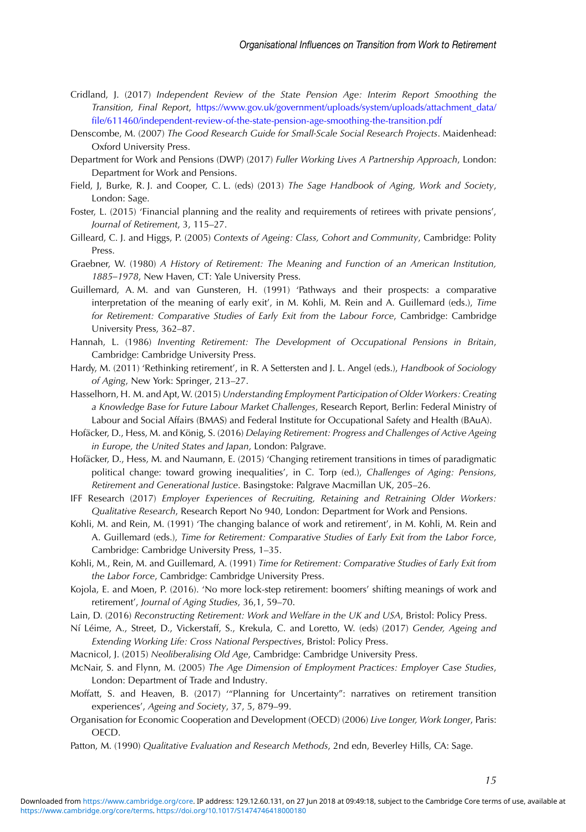- <span id="page-15-0"></span>Cridland, J. (2017) *Independent Review of the State Pension Age: Interim Report Smoothing the Transition, Final Report*, [https://www.gov.uk/government/uploads/system/uploads/attachment\\_data/](https://www.gov.uk/government/uploads/system/uploads/attachment_data/file/611460/independent-review-of-the-state-pension-age-smoothing-the-transition.pdf) [file/611460/independent-review-of-the-state-pension-age-smoothing-the-transition.pdf](https://www.gov.uk/government/uploads/system/uploads/attachment_data/file/611460/independent-review-of-the-state-pension-age-smoothing-the-transition.pdf)
- Denscombe, M. (2007) *The Good Research Guide for Small-Scale Social Research Projects*. Maidenhead: Oxford University Press.
- Department for Work and Pensions (DWP) (2017) *Fuller Working Lives A Partnership Approach*, London: Department for Work and Pensions.
- Field, J, Burke, R. J. and Cooper, C. L. (eds) (2013) *The Sage Handbook of Aging, Work and Society*, London: Sage.
- Foster, L. (2015) 'Financial planning and the reality and requirements of retirees with private pensions', *Journal of Retirement*, 3, 115–27.
- Gilleard, C. J. and Higgs, P. (2005) *Contexts of Ageing: Class, Cohort and Community*, Cambridge: Polity Press.
- Graebner, W. (1980) *A History of Retirement: The Meaning and Function of an American Institution, 1885–1978*, New Haven, CT: Yale University Press.
- Guillemard, A. M. and van Gunsteren, H. (1991) 'Pathways and their prospects: a comparative interpretation of the meaning of early exit', in M. Kohli, M. Rein and A. Guillemard (eds.), *Time for Retirement: Comparative Studies of Early Exit from the Labour Force*, Cambridge: Cambridge University Press, 362–87.
- Hannah, L. (1986) *Inventing Retirement: The Development of Occupational Pensions in Britain*, Cambridge: Cambridge University Press.
- Hardy, M. (2011) 'Rethinking retirement', in R. A Settersten and J. L. Angel (eds.), *Handbook of Sociology of Aging*, New York: Springer, 213–27.
- Hasselhorn, H. M. and Apt, W. (2015) *Understanding Employment Participation of Older Workers: Creating a Knowledge Base for Future Labour Market Challenges*, Research Report, Berlin: Federal Ministry of Labour and Social Affairs (BMAS) and Federal Institute for Occupational Safety and Health (BAuA).
- Hofäcker, D., Hess, M. and König, S. (2016) *Delaying Retirement: Progress and Challenges of Active Ageing in Europe, the United States and Japan*, London: Palgrave.
- Hofäcker, D., Hess, M. and Naumann, E. (2015) 'Changing retirement transitions in times of paradigmatic political change: toward growing inequalities', in C. Torp (ed.), *Challenges of Aging: Pensions, Retirement and Generational Justice*. Basingstoke: Palgrave Macmillan UK, 205–26.
- IFF Research (2017) *Employer Experiences of Recruiting, Retaining and Retraining Older Workers: Qualitative Research*, Research Report No 940, London: Department for Work and Pensions.
- Kohli, M. and Rein, M. (1991) 'The changing balance of work and retirement', in M. Kohli, M. Rein and A. Guillemard (eds.), *Time for Retirement: Comparative Studies of Early Exit from the Labor Force*, Cambridge: Cambridge University Press, 1–35.
- Kohli, M., Rein, M. and Guillemard, A. (1991) *Time for Retirement: Comparative Studies of Early Exit from the Labor Force*, Cambridge: Cambridge University Press.
- Kojola, E. and Moen, P. (2016). 'No more lock-step retirement: boomers' shifting meanings of work and retirement', *Journal of Aging Studies*, 36,1, 59–70.
- Lain, D. (2016) *Reconstructing Retirement: Work and Welfare in the UK and USA*, Bristol: Policy Press.
- Ní Léime, A., Street, D., Vickerstaff, S., Krekula, C. and Loretto, W. (eds) (2017) Gender, Ageing and *Extending Working Life: Cross National Perspectives*, Bristol: Policy Press.
- Macnicol, J. (2015) *Neoliberalising Old Age*, Cambridge: Cambridge University Press.
- McNair, S. and Flynn, M. (2005) *The Age Dimension of Employment Practices: Employer Case Studies*, London: Department of Trade and Industry.
- Moffatt, S. and Heaven, B. (2017) '"Planning for Uncertainty": narratives on retirement transition experiences', *Ageing and Society*, 37, 5, 879–99.
- Organisation for Economic Cooperation and Development (OECD) (2006) *Live Longer, Work Longer*, Paris: OECD.
- Patton, M. (1990) *Qualitative Evaluation and Research Methods*, 2nd edn, Beverley Hills, CA: Sage.